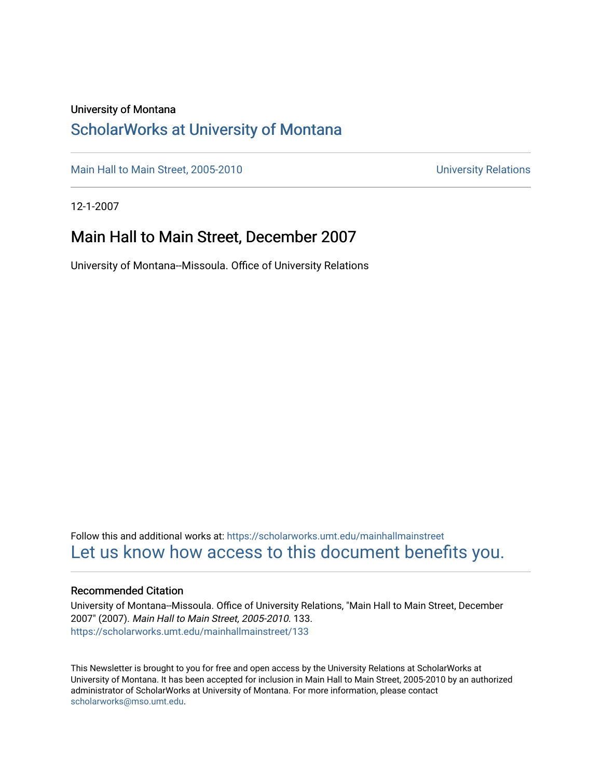#### University of Montana

### [ScholarWorks at University of Montana](https://scholarworks.umt.edu/)

[Main Hall to Main Street, 2005-2010](https://scholarworks.umt.edu/mainhallmainstreet) Main Hall to Main Street, 2005-2010

12-1-2007

### Main Hall to Main Street, December 2007

University of Montana--Missoula. Office of University Relations

Follow this and additional works at: [https://scholarworks.umt.edu/mainhallmainstreet](https://scholarworks.umt.edu/mainhallmainstreet?utm_source=scholarworks.umt.edu%2Fmainhallmainstreet%2F133&utm_medium=PDF&utm_campaign=PDFCoverPages) [Let us know how access to this document benefits you.](https://goo.gl/forms/s2rGfXOLzz71qgsB2) 

#### Recommended Citation

University of Montana--Missoula. Office of University Relations, "Main Hall to Main Street, December 2007" (2007). Main Hall to Main Street, 2005-2010. 133. [https://scholarworks.umt.edu/mainhallmainstreet/133](https://scholarworks.umt.edu/mainhallmainstreet/133?utm_source=scholarworks.umt.edu%2Fmainhallmainstreet%2F133&utm_medium=PDF&utm_campaign=PDFCoverPages)

This Newsletter is brought to you for free and open access by the University Relations at ScholarWorks at University of Montana. It has been accepted for inclusion in Main Hall to Main Street, 2005-2010 by an authorized administrator of ScholarWorks at University of Montana. For more information, please contact [scholarworks@mso.umt.edu.](mailto:scholarworks@mso.umt.edu)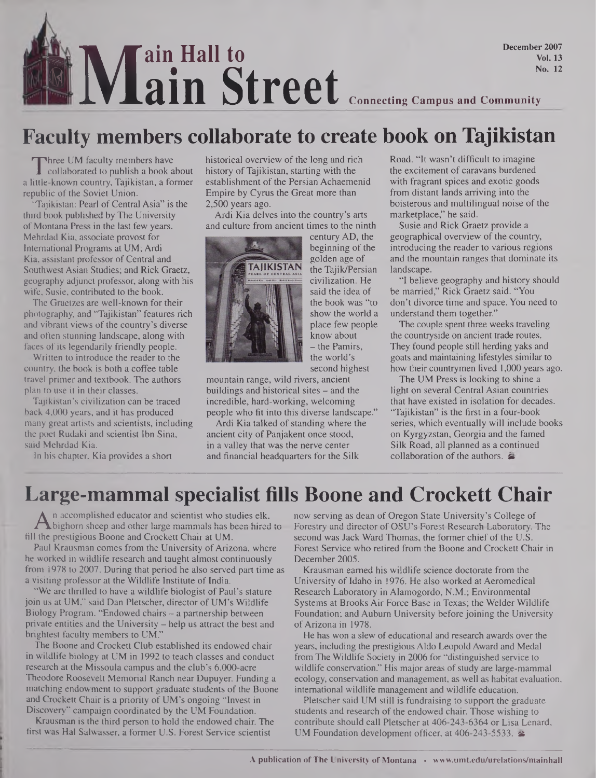

**Connecting Campus and Community**

# **Faculty members collaborate to create book on Tajikistan**

The UM faculty members have and<br>collaborated to publish a book about his<br>little-known country, Tajikistan, a former est. Three UM faculty members have collaborated to publish a book about republic of the Soviet Union.

"Tajikistan: Pearl of Central Asia" is the third book published by The University of Montana Press in the last few years. Mehrdad Kia, associate provost for International Programs at UM; Ardi Kia, assistant professor of Central and Southwest Asian Studies; and Rick Graetz, geography adjunct professor, along with his wife, Susie, contributed to the book.

The Graetzes are well-known for their photography, and "Tajikistan" features rich and vibrant views of the country's diverse and often stunning landscape, along with faces of its legendarily friendly people.

Written to introduce the reader to the country, the book is both a coffee table travel primer and textbook. The authors plan to use it in their classes.

Tajikistan's civilization can be traced back 4,000 years, and it has produced many great artists and scientists, including the poet Rudaki and scientist Ibn Sina, said Mehrdad Kia.

In his chapter, Kia provides a short

historical overview of the long and rich history of Tajikistan, starting with the establishment of the Persian Achaemenid Empire by Cyrus the Great more than 2,500 years ago.

Ardi Kia delves into the country's arts and culture from ancient times to the ninth



century AD, the beginning of the golden age of the Tajik/Persian civilization. He said the idea of the book was "to show the world a place few people know about — the Pamirs, the world's second highest

mountain range, wild rivers, ancient buildings and historical sites – and the incredible, hard-working, welcoming people who fit into this diverse landscape."

Ardi Kia talked of standing where the ancient city of Panjakent once stood, in a valley that was the nerve center and financial headquarters for the Silk

Road. "It wasn't difficult to imagine the excitement of caravans burdened with fragrant spices and exotic goods from distant lands arriving into the boisterous and multilingual noise of the marketplace," he said.

Susie and Rick Graetz provide a geographical overview of the country, introducing the reader to various regions and the mountain ranges that dominate its landscape.

"I believe geography and history should be married," Rick Graetz said. "You don't divorce time and space. You need to understand them together."

The couple spent three weeks traveling the countryside on ancient trade routes. They found people still herding yaks and goats and maintaining lifestyles similar to how their countrymen lived 1,000 years ago.

The UM Press is looking to shine a light on several Central Asian countries that have existed in isolation for decades. 'Tajikistan" is the first in a four-book series, which eventually will include books on Kyrgyzstan, Georgia and the famed Silk Road, all planned as a continued collaboration of the authors. £»

## **Large-mammal specialist fills Boone and Crockett Chair**

A in accomplished educator and scientist who studies elk.<br>bighorn sheep and other large mammals has been hired to<br>the prestigious Boone and Crockett Chair at UM. n accomplished educator and scientist who studies elk, fill the prestigious Boone and Crockett Chair at UM.

Paul Krausman comes from the University of Arizona, where he worked in wildlife research and taught almost continuously from 1978 to 2007. During that period he also served part time as a visiting professor at the Wildlife Institute of India.

"We are thrilled to have a wildlife biologist of Paul's stature join us at UM," said Dan Pletscher, director of UM's Wildlife Biology Program. "Endowed chairs — a partnership between private entities and the University – help us attract the best and brightest faculty members to UM."

The Boone and Crockett Club established its endowed chair in wildlife biology at UM in 1992 to teach classes and conduct research at the Missoula campus and the club's 6,000-acre Theodore Roosevelt Memorial Ranch near Dupuyer. Funding a matching endowment to support graduate students of the Boone and Crockett Chair is a priority of UM's ongoing "Invest in Discovery" campaign coordinated by the UM Foundation.

Krausman is the third person to hold the endowed chair. The first was Hal Salwasser, a former U.S. Forest Service scientist

now serving as dean of Oregon State University's College of Forestry and director of OSU's Forest Research Laboratory. The second was Jack Ward Thomas, the former chief of the U.S. Forest Service who retired from the Boone and Crockett Chair in December 2005.

Krausman earned his wildlife science doctorate from the University of Idaho in 1976. He also worked at Aeromedical Research Laboratory in Alamogordo, N.M.; Environmental Systems at Brooks Air Force Base in Texas; the Welder Wildlife Foundation; and Auburn University before joining the University ofArizona in 1978.

He has won a slew of educational and research awards over the years, including the prestigious Aldo Leopold Award and Medal from The Wildlife Society in 2006 for "distinguished service to wildlife conservation." His major areas of study are large-mammal ecology, conservation and management, as well as habitat evaluation, international wildlife management and wildlife education.

Pletscher said UM still is fundraising to support the graduate students and research of the endowed chair. Those wishing to contribute should call Pletscher at 406-243-6364 or Lisa Lenard, UM Foundation development officer, at  $406-243-5533$ .